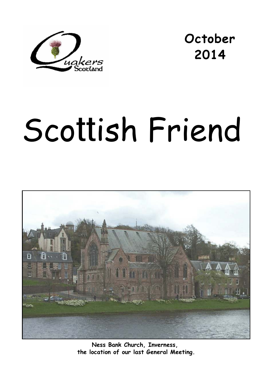

**October 2014** 

# Scottish Friend



**Ness Bank Church, Inverness, the location of our last General Meeting.**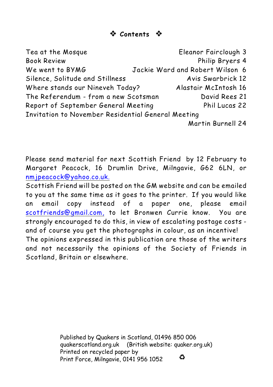# **Contents**

| Tea at the Mosque                                  | Eleanor Fairclough 3            |  |  |
|----------------------------------------------------|---------------------------------|--|--|
| <b>Book Review</b>                                 | Philip Bryers 4                 |  |  |
| We went to BYMG                                    | Jackie Ward and Robert Wilson 6 |  |  |
| Silence, Solitude and Stillness                    | Avis Swarbrick 12               |  |  |
| Where stands our Nineveh Today?                    | Alastair McIntosh 16            |  |  |
| The Referendum - from a new Scotsman               | David Rees 21                   |  |  |
| Report of September General Meeting                | Phil Lucas 22                   |  |  |
| Invitation to November Residential General Meeting |                                 |  |  |
|                                                    | Martin Burnell 24               |  |  |

Please send material for next *Scottish Friend* by 12 February to Margaret Peacock, 16 Drumlin Drive, Milngavie, G62 6LN, or [nmjpeacock@yahoo.co.uk.](mailto:nmjpeacock@yahoo.co.uk.)

*Scottish Friend* will be posted on the GM website and can be emailed to you at the same time as it goes to the printer. If you would like an email copy instead of a paper one, please email [scotfriends@gmail.com,](mailto:scotfriends@aol.com,) to let Bronwen Currie know. You are strongly encouraged to do this, in view of escalating postage costs and of course you get the photographs in colour, as an incentive! The opinions expressed in this publication are those of the writers and not necessarily the opinions of the Society of Friends in Scotland, Britain or elsewhere.

> Published by Quakers in Scotland, 01496 850 006 quakerscotland.org.uk (British website: quaker.org.uk) Printed on recycled paper by € Print Force, Milngavie, 0141 956 1052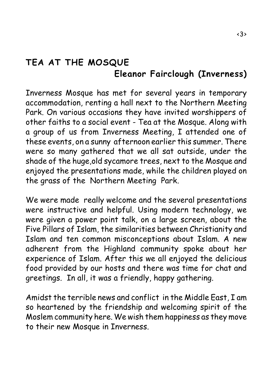# **TEA AT THE MOSQUE Eleanor Fairclough (Inverness)**

Inverness Mosque has met for several years in temporary accommodation, renting a hall next to the Northern Meeting Park. On various occasions they have invited worshippers of other faiths to a social event - Tea at the Mosque. Along with a group of us from Inverness Meeting, I attended one of these events, on a sunny afternoon earlier this summer. There were so many gathered that we all sat outside, under the shade of the huge,old sycamore trees, next to the Mosque and enjoyed the presentations made, while the children played on the grass of the Northern Meeting Park.

We were made really welcome and the several presentations were instructive and helpful. Using modern technology, we were given a power point talk, on a large screen, about the Five Pillars of Islam, the similarities between Christianity and Islam and ten common misconceptions about Islam. A new adherent from the Highland community spoke about her experience of Islam. After this we all enjoyed the delicious food provided by our hosts and there was time for chat and greetings. In all, it was a friendly, happy gathering.

Amidst the terrible news and conflict in the Middle East, I am so heartened by the friendship and welcoming spirit of the Moslem community here. We wish them happiness as they move to their new Mosque in Inverness.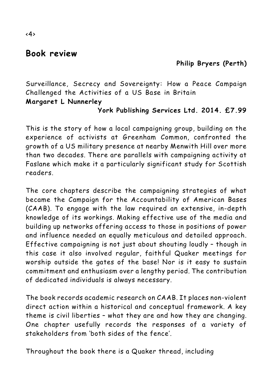# **Book review**

# **Philip Bryers (Perth)**

*Surveillance, Secrecy and Sovereignty: How a Peace Campaign Challenged the Activities of a US Base in Britain* **Margaret L Nunnerley**

## **York Publishing Services Ltd. 2014. £7.99**

This is the story of how a local campaigning group, building on the experience of activists at Greenham Common, confronted the growth of a US military presence at nearby Menwith Hill over more than two decades. There are parallels with campaigning activity at Faslane which make it a particularly significant study for Scottish readers.

The core chapters describe the campaigning strategies of what became the Campaign for the Accountability of American Bases (CAAB). To engage with the law required an extensive, in-depth knowledge of its workings. Making effective use of the media and building up networks offering access to those in positions of power and influence needed an equally meticulous and detailed approach. Effective campaigning is not just about shouting loudly – though in this case it also involved regular, faithful Quaker meetings for worship outside the gates of the base! Nor is it easy to sustain commitment and enthusiasm over a lengthy period. The contribution of dedicated individuals is always necessary.

The book records academic research on CAAB. It places non-violent direct action within a historical and conceptual framework. A key theme is civil liberties – what they are and how they are changing. One chapter usefully records the responses of a variety of stakeholders from 'both sides of the fence'.

Throughout the book there is a Quaker thread, including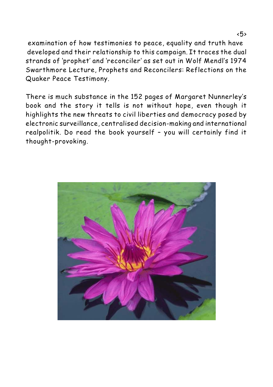examination of how testimonies to peace, equality and truth have developed and their relationship to this campaign. It traces the dual strands of 'prophet' and 'reconciler' as set out in Wolf Mendl's 1974 Swarthmore Lecture, *Prophets and Reconcilers: Reflections on the Quaker Peace Testimony.*

There is much substance in the 152 pages of Margaret Nunnerley's book and the story it tells is not without hope, even though it highlights the new threats to civil liberties and democracy posed by electronic surveillance, centralised decision-making and international realpolitik. Do read the book yourself – you will certainly find it thought-provoking.

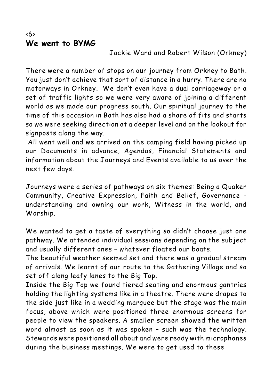## <6> **We went to BYMG**

### Jackie Ward and Robert Wilson (Orkney)

There were a number of stops on our journey from Orkney to Bath. You just don't achieve that sort of distance in a hurry. There are no motorways in Orkney. We don't even have a dual carriageway or a set of traffic lights so we were very aware of joining a different world as we made our progress south. Our spiritual journey to the time of this occasion in Bath has also had a share of fits and starts so we were seeking direction at a deeper level and on the lookout for signposts along the way.

 All went well and we arrived on the camping field having picked up our Documents in advance, Agendas, Financial Statements and information about the Journeys and Events available to us over the next few days.

Journeys were a series of pathways on six themes: Being a Quaker Community, Creative Expression, Faith and Belief, Governance understanding and owning our work, Witness in the world, and Worship.

We wanted to get a taste of everything so didn't choose just one pathway. We attended individual sessions depending on the subject and usually different ones – whatever floated our boats.

The beautiful weather seemed set and there was a gradual stream of arrivals. We learnt of our route to the Gathering Village and so set off along leafy lanes to the Big Top.

Inside the Big Top we found tiered seating and enormous gantries holding the lighting systems like in a theatre. There were drapes to the side just like in a wedding marquee but the stage was the main focus, above which were positioned three enormous screens for people to view the speakers. A smaller screen showed the written word almost as soon as it was spoken – such was the technology. Stewards were positioned all about and were ready with microphones during the business meetings. We were to get used to these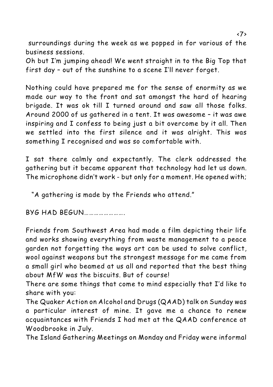surroundings during the week as we popped in for various of the business sessions.

Oh but I'm jumping ahead! We went straight in to the Big Top that first day – out of the sunshine to a scene I'll never forget.

Nothing could have prepared me for the sense of enormity as we made our way to the front and sat amongst the hard of hearing brigade. It was ok till I turned around and saw all those folks. Around 2000 of us gathered in a tent. It was awesome – it was awe inspiring and I confess to being just a bit overcome by it all. Then we settled into the first silence and it was alright. This was something I recognised and was so comfortable with.

I sat there calmly and expectantly. The clerk addressed the gathering but it became apparent that technology had let us down. The microphone didn't work - but only for a moment. He opened with;

"A gathering is made by the Friends who attend."

BYG HAD BEGUN…………………….

Friends from Southwest Area had made a film depicting their life and works showing everything from waste management to a peace garden not forgetting the ways art can be used to solve conflict, wool against weapons but the strongest message for me came from a small girl who beamed at us all and reported that the best thing about MfW was the biscuits. But of course!

There are some things that come to mind especially that I'd like to share with you:

The Quaker Action on Alcohol and Drugs (QAAD) talk on Sunday was a particular interest of mine. It gave me a chance to renew acquaintances with Friends I had met at the QAAD conference at Woodbrooke in July.

The Island Gathering Meetings on Monday and Friday were informal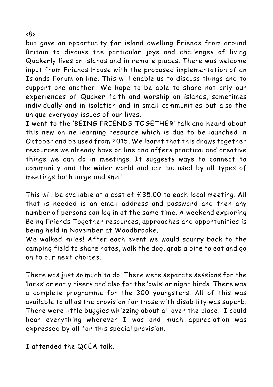but gave an opportunity for island dwelling Friends from around Britain to discuss the particular joys and challenges of living Quakerly lives on islands and in remote places. There was welcome input from Friends House with the proposed implementation of an Islands Forum on line. This will enable us to discuss things and to support one another. We hope to be able to share not only our experiences of Quaker faith and worship on islands, sometimes individually and in isolation and in small communities but also the unique everyday issues of our lives.

I went to the 'BEING FRIENDS TOGETHER' talk and heard about this new online learning resource which is due to be launched in October and be used from 2015. We learnt that this draws together resources we already have on line and offers practical and creative things we can do in meetings. It suggests ways to connect to community and the wider world and can be used by all types of meetings both large and small.

This will be available at a cost of £35.00 to each local meeting. All that is needed is an email address and password and then any number of persons can log in at the same time. A weekend exploring Being Friends Together resources, approaches and opportunities is being held in November at Woodbrooke.

We walked miles! After each event we would scurry back to the camping field to share notes, walk the dog, grab a bite to eat and go on to our next choices.

There was just so much to do. There were separate sessions for the 'larks' or early risers and also for the 'owls' or night birds. There was a complete programme for the 300 youngsters. All of this was available to all as the provision for those with disability was superb. There were little buggies whizzing about all over the place. I could hear everything wherever I was and much appreciation was expressed by all for this special provision.

I attended the QCEA talk.

<8>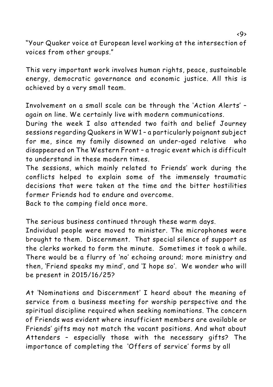"Your Quaker voice at European level working at the intersection of voices from other groups."

This very important work involves human rights, peace, sustainable energy, democratic governance and economic justice. All this is achieved by a very small team.

Involvement on a small scale can be through the 'Action Alerts' – again on line. We certainly live with modern communications.

During the week I also attended two faith and belief Journey sessions regarding Quakers in WW1 – a particularly poignant subject for me, since my family disowned an under-aged relative who disappeared on The Western Front – a tragic event which is difficult to understand in these modern times.

The sessions, which mainly related to Friends' work during the conflicts helped to explain some of the immensely traumatic decisions that were taken at the time and the bitter hostilities former Friends had to endure and overcome.

Back to the camping field once more.

The serious business continued through these warm days.

Individual people were moved to minister. The microphones were brought to them. Discernment. That special silence of support as the clerks worked to form the minute. Sometimes it took a while. There would be a flurry of 'no' echoing around; more ministry and then, 'Friend speaks my mind', and 'I hope so'. We wonder who will be present in 2015/16/25?

At 'Nominations and Discernment' I heard about the meaning of service from a business meeting for worship perspective and the spiritual discipline required when seeking nominations. The concern of Friends was evident where insufficient members are available or Friends' gifts may not match the vacant positions. And what about Attenders – especially those with the necessary gifts? The importance of completing the 'Offers of service' forms by all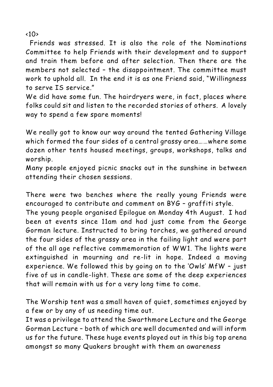$\langle$ 10>

 Friends was stressed. It is also the role of the Nominations Committee to help Friends with their development and to support and train them before and after selection. Then there are the members not selected – the disappointment. The committee must work to uphold all. In the end it is as one Friend said, "Willingness to serve IS service."

We did have some fun. The hairdryers were, in fact, places where folks could sit and listen to the recorded stories of others. A lovely way to spend a few spare moments!

We really got to know our way around the tented Gathering Village which formed the four sides of a central grassy area……where some dozen other tents housed meetings, groups, workshops, talks and worship.

Many people enjoyed picnic snacks out in the sunshine in between attending their chosen sessions.

There were two benches where the really young Friends were encouraged to contribute and comment on BYG – graffiti style.

The young people organised Epilogue on Monday 4th August. I had been at events since 11am and had just come from the George Gorman lecture. Instructed to bring torches, we gathered around the four sides of the grassy area in the failing light and were part of the all age reflective commemoration of WW1. The lights were extinguished in mourning and re-lit in hope. Indeed a moving experience. We followed this by going on to the 'Owls' MfW – just five of us in candle-light. These are some of the deep experiences that will remain with us for a very long time to come.

The Worship tent was a small haven of quiet, sometimes enjoyed by a few or by any of us needing time out.

It was a privilege to attend the Swarthmore Lecture and the George Gorman Lecture – both of which are well documented and will inform us for the future. These huge events played out in this big top arena amongst so many Quakers brought with them an awareness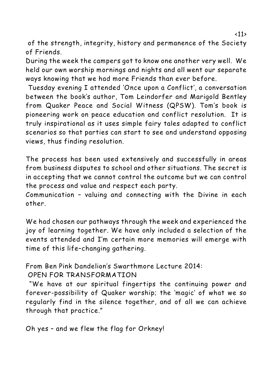of the strength, integrity, history and permanence of the Society of Friends.

During the week the campers got to know one another very well. We held our own worship mornings and nights and all went our separate ways knowing that we had more Friends than ever before.

 Tuesday evening I attended 'Once upon a Conflict', a conversation between the book's author, Tom Leindorfer and Marigold Bentley from Quaker Peace and Social Witness (QPSW). Tom's book is pioneering work on peace education and conflict resolution. It is truly inspirational as it uses simple fairy tales adapted to conflict scenarios so that parties can start to see and understand opposing views, thus finding resolution.

The process has been used extensively and successfully in areas from business disputes to school and other situations. The secret is in accepting that we cannot control the outcome but we can control the process and value and respect each party.

Communication – valuing and connecting with the Divine in each other.

We had chosen our pathways through the week and experienced the joy of learning together. We have only included a selection of the events attended and I'm certain more memories will emerge with time of this life–changing gathering.

From Ben Pink Dandelion's Swarthmore Lecture 2014:

OPEN FOR TRANSFORMATION

 "We have at our spiritual fingertips the continuing power and forever-possibility of Quaker worship; the 'magic' of what we so regularly find in the silence together, and of all we can achieve through that practice."

Oh yes – and we flew the flag for Orkney!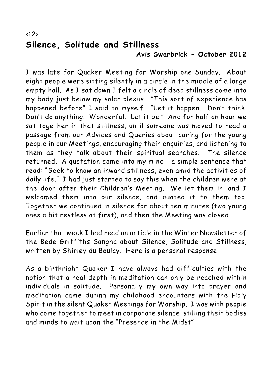## $\langle 12 \rangle$ **Silence, Solitude and Stillness Avis Swarbrick - October 2012**

I was late for Quaker Meeting for Worship one Sunday. About eight people were sitting silently in a circle in the middle of a large empty hall. As I sat down I felt a circle of deep stillness come into my body just below my solar plexus. "This sort of experience has happened before" I said to myself. "Let it happen. Don't think. Don't do anything. Wonderful. Let it be." And for half an hour we sat together in that stillness, until someone was moved to read a passage from our Advices and Queries about caring for the young people in our Meetings, encouraging their enquiries, and listening to them as they talk about their spiritual searches. The silence returned. A quotation came into my mind - a simple sentence that read: "Seek to know an inward stillness, even amid the activities of daily life." I had just started to say this when the children were at the door after their Children's Meeting. We let them in, and I welcomed them into our silence, and quoted it to them too. Together we continued in silence for about ten minutes (two young ones a bit restless at first), and then the Meeting was closed.

Earlier that week I had read an article in the Winter Newsletter of the Bede Griffiths Sangha about Silence, Solitude and Stillness, written by Shirley du Boulay. Here is a personal response.

As a birthright Quaker I have always had difficulties with the notion that a real depth in meditation can only be reached within individuals in solitude. Personally my own way into prayer and meditation came during my childhood encounters with the Holy Spirit in the silent Quaker Meetings for Worship. I was with people who come together to meet in corporate silence, stilling their bodies and minds to wait upon the "Presence in the Midst"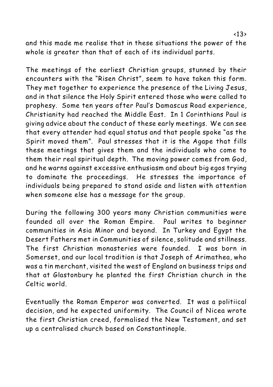and this made me realise that in these situations the power of the whole is greater than that of each of its individual parts.

The meetings of the earliest Christian groups, stunned by their encounters with the "Risen Christ", seem to have taken this form. They met together to experience the presence of the Living Jesus, and in that silence the Holy Spirit entered those who were called to prophesy. Some ten years after Paul's Damascus Road experience, Christianity had reached the Middle East. In 1 Corinthians Paul is giving advice about the conduct of these early meetings. We can see that every attender had equal status and that people spoke "as the Spirit moved them". Paul stresses that it is the Agape that fills these meetings that gives them and the individuals who come to them their real spiritual depth. The moving power comes from God, and he warns against excessive enthusiasm and about big egos trying to dominate the proceedings. He stresses the importance of individuals being prepared to stand aside and listen with attention when someone else has a message for the group.

During the following 300 years many Christian communities were founded all over the Roman Empire. Paul writes to beginner communities in Asia Minor and beyond. In Turkey and Egypt the Desert Fathers met in Communities of silence, solitude and stillness. The first Christian monasteries were founded. I was born in Somerset, and our local tradition is that Joseph of Arimathea, who was a tin merchant, visited the west of England on business trips and that at Glastonbury he planted the first Christian church in the Celtic world.

Eventually the Roman Emperor was converted. It was a politiical decision, and he expected uniformity. The Council of Nicea wrote the first Christian creed, formalised the New Testament, and set up a centralised church based on Constantinople.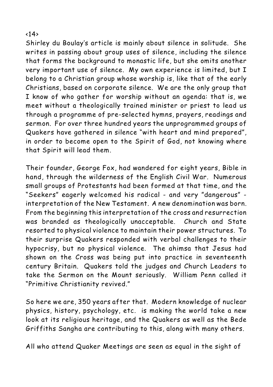#### <14>

Shirley du Boulay's article is mainly about silence in solitude. She writes in passing about group uses of silence, including the silence that forms the background to monastic life, but she omits another very important use of silence. My own experience is limited, but I belong to a Christian group whose worship is, like that of the early Christians, based on corporate silence. We are the only group that I know of who gather for worship without an agenda: that is, we meet without a theologically trained minister or priest to lead us through a programme of pre-selected hymns, prayers, readings and sermon. For over three hundred years the unprogrammed groups of Quakers have gathered in silence "with heart and mind prepared", in order to become open to the Spirit of God, not knowing where that Spirit will lead them.

Their founder, George Fox, had wandered for eight years, Bible in hand, through the wilderness of the English Civil War. Numerous small groups of Protestants had been formed at that time, and the "Seekers" eagerly welcomed his radical - and very "dangerous" interpretation of the New Testament. A new denomination was born. From the beginning this interpretation of the cross and resurrection was branded as theologically unacceptable. Church and State resorted to physical violence to maintain their power structures. To their surprise Quakers responded with verbal challenges to their hypocrisy, but no physical violence. The ahimsa that Jesus had shown on the Cross was being put into practice in seventeenth century Britain. Quakers told the judges and Church Leaders to take the Sermon on the Mount seriously. William Penn called it "Primitive Christianity revived."

So here we are, 350 years after that. Modern knowledge of nuclear physics, history, psychology, etc. is making the world take a new look at its religious heritage, and the Quakers as well as the Bede Griffiths Sangha are contributing to this, along with many others.

All who attend Quaker Meetings are seen as equal in the sight of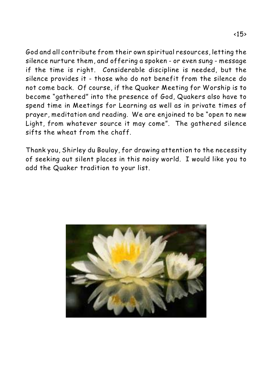God and all contribute from their own spiritual resources, letting the silence nurture them, and offering a spoken - or even sung - message if the time is right. Considerable discipline is needed, but the silence provides it - those who do not benefit from the silence do not come back. Of course, if the Quaker Meeting for Worship is to become "gathered" into the presence of God, Quakers also have to spend time in Meetings for Learning as well as in private times of prayer, meditation and reading. We are enjoined to be "open to new Light, from whatever source it may come". The gathered silence sifts the wheat from the chaff.

Thank you, Shirley du Boulay, for drawing attention to the necessity of seeking out silent places in this noisy world. I would like you to add the Quaker tradition to your list.

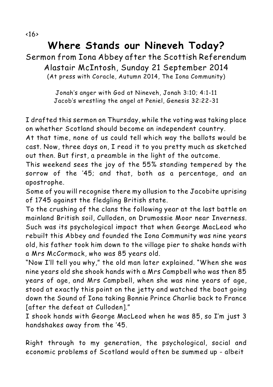# **Where Stands our Nineveh Today?** Sermon from Iona Abbey after the Scottish Referendum Alastair McIntosh, Sunday 21 September 2014

(At press with *Coracle*, Autumn 2014, The Iona Community)

*Jonah's anger with God at Nineveh, Jonah 3:10; 4:1-11 Jacob's wrestling the angel at Peniel, Genesis 32:22-31*

I drafted this sermon on Thursday, while the voting was taking place on whether Scotland should become an independent country.

At that time, none of us could tell which way the ballots would be cast. Now, three days on, I read it to you pretty much as sketched out then. But first, a preamble in the light of the outcome.

This weekend sees the joy of the 55% standing tempered by the sorrow of the '45; and that, both as a percentage, and an apostrophe.

Some of you will recognise there my allusion to the Jacobite uprising of 1745 against the fledgling British state.

To the crushing of the clans the following year at the last battle on mainland British soil, Culloden, on Drumossie Moor near Inverness. Such was its psychological impact that when George MacLeod who rebuilt this Abbey and founded the Iona Community was nine years old, his father took him down to the village pier to shake hands with a Mrs McCormack, who was 85 years old.

"Now I'll tell you why," the old man later explained. "When she was nine years old she shook hands with a Mrs Campbell who was then 85 years of age, and Mrs Campbell, when she was nine years of age, stood at exactly this point on the jetty and watched the boat going down the Sound of Iona taking Bonnie Prince Charlie back to France [after the defeat at Culloden]."

I shook hands with George MacLeod when he was 85, so I'm just 3 handshakes away from the '45.

Right through to my generation, the psychological, social and economic problems of Scotland would often be summed up - albeit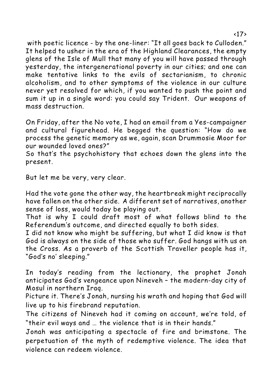with poetic licence - by the one-liner: "*It all goes back to Culloden.*" It helped to usher in the era of the Highland Clearances, the empty glens of the Isle of Mull that many of you will have passed through yesterday, the intergenerational poverty in our cities; and one can make tentative links to the evils of sectarianism, to chronic alcoholism, and to other symptoms of the violence in our culture never yet resolved for which, if you wanted to push the point and sum it up in a single word: you could say *Trident.* Our weapons of mass destruction.

On Friday, after the No vote, I had an email from a Yes-campaigner and cultural figurehead. He begged the question: "How do we process the genetic memory as we, again, scan Drummosie Moor for our wounded loved ones?"

So that's the psychohistory that echoes down the glens into the present.

*But let me be very, very clear.* 

Had the vote gone the other way, the heartbreak might reciprocally have fallen on the other side. A different set of narratives, another sense of loss, would today be playing out.

That is why I could draft most of what follows blind to the Referendum's outcome, and directed equally to both sides.

I did not know who might be suffering, but what I did know is that God is always on the side of those who suffer. God hangs with us on the Cross. As a proverb of the Scottish Traveller people has it, "God's no' sleeping."

In today's reading from the lectionary, the prophet Jonah anticipates God's vengeance upon Nineveh – the modern-day city of Mosul in northern Iraq.

Picture it. There's Jonah, nursing his wrath and hoping that God will live up to his firebrand reputation.

The citizens of Nineveh had it coming on account, we're told, of "their evil ways and … the violence that is in their hands."

Jonah was anticipating a spectacle of fire and brimstone. The perpetuation of the myth of redemptive violence. The idea that violence can redeem violence.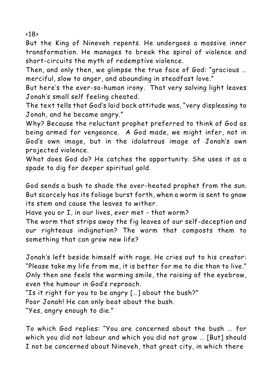<18>

But the King of Nineveh repents. He undergoes a massive inner transformation. He manages to break the spiral of violence and short-circuits the myth of redemptive violence.

Then, and only then, we glimpse the true face of God: "gracious … merciful, slow to anger, and abounding in steadfast love."

But here's the ever-so-human irony. That very salving light leaves Jonah's small self feeling cheated.

The text tells that God's laid back attitude was, "very displeasing to Jonah, and he became angry."

Why? Because the reluctant prophet preferred to think of God as being *armed for vengeance*. A God made, we might infer, not in God's own image, but in the idolatrous image of Jonah's own projected violence.

What does God do? He catches the opportunity. She uses it as a spade to dig for deeper spiritual gold.

God sends a bush to shade the over-heated prophet from the sun.

But scarcely has its foliage burst forth, when a worm is sent to gnaw its stem and cause the leaves to wither.

Have you or I, in our lives, ever met - that worm?

The worm that strips away the fig leaves of our self-deception and our righteous indignation? The worm that composts them to something that can grow new life?

Jonah's left beside himself with rage. He cries out to his creator: "Please take my life from me, it is better for me to die than to live." Only then one feels the warming smile, the raising of the eyebrow, even the humour in God's reproach.

"Is it right for you to be angry […] *about the bush?*"

Poor Jonah! He can only beat about the bush.

"Yes, *angry enough to die*."

To which God replies: "You are concerned about the bush … for which you did not labour and which you did not grow … [But] should I not be concerned about Nineveh, that great city, in which there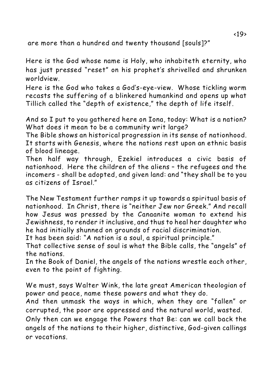are more than a hundred and twenty thousand [souls]?"

Here is the God whose name is Holy, who inhabiteth eternity, who has just pressed "reset" on his prophet's shrivelled and shrunken worldview.

Here is the God who takes a God's-eye-view. Whose tickling worm recasts the suffering of a blinkered humankind and opens up what Tillich called the "depth of existence," the depth of life itself.

And so I put to you gathered here on Iona, today: *What is a nation?* What does it mean to be a community writ large?

The Bible shows an historical progression in its sense of nationhood. It starts with Genesis, where the nations rest upon an *ethnic basis* of blood lineage.

Then half way through, Ezekiel introduces a *civic basis* of nationhood. Here the children of the aliens – the refugees and the incomers - shall be adopted, and given land: and "they shall be to you as citizens of Israel."

The New Testament further ramps it up towards a *spiritual basis* of nationhood. In Christ, there is "neither Jew nor Greek." And recall how Jesus was pressed by the Canaanite woman to extend his Jewishness, to render it inclusive, and thus to heal her daughter who he had initially shunned on grounds of racial discrimination.

It has been said: "A nation is a soul, a spiritual principle."

That collective sense of soul is what the Bible calls, the "angels" of the nations.

In the Book of Daniel, the angels of the nations wrestle each other, even to the point of fighting.

We must, says Walter Wink, the late great American theologian of power and peace, *name* these powers and what they do.

And then *unmask* the ways in which, when they are "fallen" or corrupted, the poor are oppressed and the natural world, wasted.

Only then can we *engage* the Powers that Be: can we call back the angels of the nations to their higher, distinctive, God-given callings or vocations.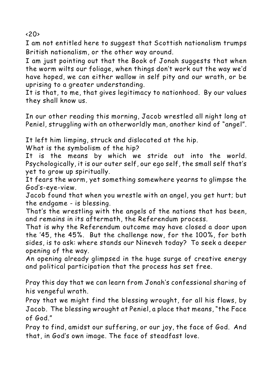$\langle 20 \rangle$ 

I am not entitled here to suggest that Scottish nationalism trumps British nationalism, or the other way around.

I am just pointing out that the Book of Jonah suggests that when the worm wilts our foliage, when things don't work out the way we'd have hoped, we can either wallow in self pity and our wrath, or be uprising to a greater understanding.

It is that, to me, that gives legitimacy to nationhood. By our values they shall know us.

In our other reading this morning, Jacob wrestled all night long at Peniel, struggling with an otherworldly man, another kind of "angel".

It left him limping, struck and dislocated at the hip.

What is the symbolism of the hip?

It is the means by which we stride out into the world. Psychologically, it is our outer self, our ego self, the small self that's yet to grow up spiritually.

It fears the worm, yet something somewhere yearns to glimpse the God's-eye-view.

Jacob found that when you wrestle with an angel, you get hurt; but the endgame - is blessing.

That's the wrestling with the angels of the nations that has been, and remains in its aftermath, the Referendum process.

That is why the Referendum outcome may have closed a door upon the '45, the 45%. But the challenge now, for the 100%, for both sides, is to ask: *where stands our Nineveh today?* To seek a deeper opening of the way.

An opening already glimpsed in the huge surge of creative energy and political participation that the process has set free.

*Pray this day that we can learn from Jonah's confessional sharing of his vengeful wrath.* 

*Pray that we might find the blessing wrought, for all his flaws, by Jacob. The blessing wrought at Peniel, a place that means, "the Face of God."* 

*Pray to find, amidst our suffering, or our joy, the face of God. And that, in God's own image. The face of steadfast love.*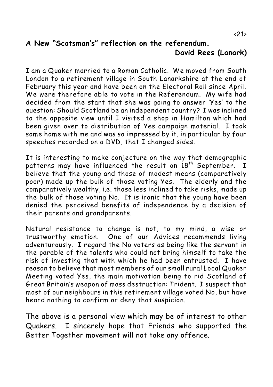# **A New "Scotsman's" reflection on the referendum. David Rees (Lanark)**

I am a Quaker married to a Roman Catholic. We moved from South London to a retirement village in South Lanarkshire at the end of February this year and have been on the Electoral Roll since April. We were therefore able to vote in the Referendum. My wife had decided from the start that she was going to answer 'Yes' to the question: Should Scotland be an independent country? I was inclined to the opposite view until I visited a shop in Hamilton which had been given over to distribution of Yes campaign material. I took some home with me and was so impressed by it, in particular by four speeches recorded on a DVD, that I changed sides.

It is interesting to make conjecture on the way that demographic patterns may have influenced the result on  $18<sup>th</sup>$  September. I believe that the young and those of modest means (comparatively poor) made up the bulk of those voting Yes. The elderly and the comparatively wealthy, i.e. those less inclined to take risks, made up the bulk of those voting No. It is ironic that the young have been denied the perceived benefits of independence by a decision of their parents and grandparents.

Natural resistance to change is not, to my mind, a wise or trustworthy emotion. One of our Advices recommends living adventurously. I regard the No voters as being like the servant in the parable of the talents who could not bring himself to take the risk of investing that with which he had been entrusted. I have reason to believe that most members of our small rural Local Quaker Meeting voted Yes, the main motivation being to rid Scotland of Great Britain's weapon of mass destruction: Trident. I suspect that most of our neighbours in this retirement village voted No, but have heard nothing to confirm or deny that suspicion.

The above is a personal view which may be of interest to other Quakers. I sincerely hope that Friends who supported the Better Together movement will not take any offence.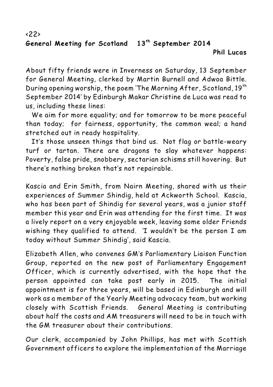#### $\langle 22 \rangle$ General Meeting for Scotland 13<sup>th</sup> September 2014 **Phil Lucas**

About fifty friends were in Inverness on Saturday, 13 September for General Meeting, clerked by Martin Burnell and Adwoa Bittle. During opening worship, the poem 'The Morning After, Scotland,  $19^{th}$ September 2014' by Edinburgh Makar Christine de Luca was read to us, including these lines:

*We aim for more equality; and for tomorrow to be more peaceful than today; for fairness, opportunity, the common weal; a hand stretched out in ready hospitality.*

*It's those unseen things that bind us. Not flag or battle-weary turf or tartan. There are dragons to slay whatever happens: Poverty, false pride, snobbery, sectarian schisms still hovering. But there's nothing broken that's not repairable.* 

Kascia and Erin Smith, from Nairn Meeting, shared with us their experiences of Summer Shindig, held at Ackworth School. Kascia, who has been part of Shindig for several years, was a junior staff member this year and Erin was attending for the first time. It was a lively report on a very enjoyable week, leaving some older Friends wishing they qualified to attend. 'I wouldn't be the person I am today without Summer Shindig', said Kascia.

Elizabeth Allen, who convenes GM's Parliamentary Liaison Function Group, reported on the new post of Parliamentary Engagement Officer, which is currently advertised, with the hope that the person appointed can take post early in 2015. The initial appointment is for three years, will be based in Edinburgh and will work as a member of the Yearly Meeting advocacy team, but working closely with Scottish Friends. General Meeting is contributing about half the costs and AM treasurers will need to be in touch with the GM treasurer about their contributions.

Our clerk, accompanied by John Phillips, has met with Scottish Government officers to explore the implementation of the Marriage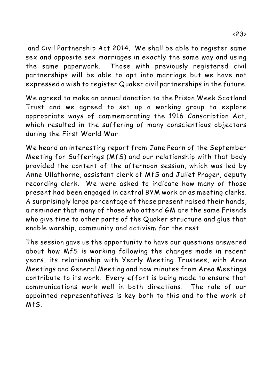and Civil Partnership Act 2014. We shall be able to register same sex and opposite sex marriages in exactly the same way and using the same paperwork. Those with previously registered civil partnerships will be able to opt into marriage but we have not expressed a wish to register Quaker civil partnerships in the future.

We agreed to make an annual donation to the Prison Week Scotland Trust and we agreed to set up a working group to explore appropriate ways of commemorating the 1916 Conscription Act, which resulted in the suffering of many conscientious objectors during the First World War.

We heard an interesting report from Jane Pearn of the September Meeting for Sufferings (MfS) and our relationship with that body provided the content of the afternoon session, which was led by Anne Ullathorne, assistant clerk of MfS and Juliet Prager, deputy recording clerk. We were asked to indicate how many of those present had been engaged in central BYM work or as meeting clerks. A surprisingly large percentage of those present raised their hands, a reminder that many of those who attend GM are the same Friends who give time to other parts of the Quaker structure and glue that enable worship, community and activism for the rest.

The session gave us the opportunity to have our questions answered about how MfS is working following the changes made in recent years, its relationship with Yearly Meeting Trustees, with Area Meetings and General Meeting and how minutes from Area Meetings contribute to its work. Every effort is being made to ensure that communications work well in both directions. The role of our appointed representatives is key both to this and to the work of MfS.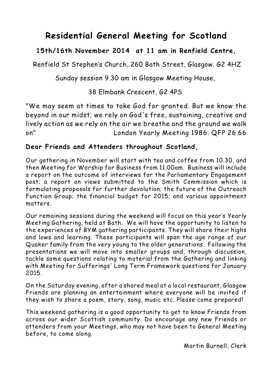# **Residential General Meeting for Scotland**

# **15th/16th November 2014 at 11 am in Renfield Centre,**

Renfield St Stephen's Church, 260 Bath Street, Glasgow. G2 4HZ

Sunday session 9.30 am in Glasgow Meeting House,

## 38 Elmbank Crescent, G2 4PS

*"We may seem at times to take God for granted. But we know the beyond in our midst; we rely on God's free, sustaining, creative and lively action as we rely on the air we breathe and the ground we walk on" London Yearly Meeting 1986. QFP 26.66*

#### **Dear Friends and Attenders throughout Scotland,**

Our gathering in November will start with tea and coffee from 10.30, and then Meeting for Worship for Business from 11.00am. Business will include a report on the outcome of interviews for the Parliamentary Engagement post; a report on views submitted to the Smith Commission which is formulating proposals for further devolution; the future of the Outreach Function Group; the financial budget for 2015; and various appointment matters.

Our remaining sessions during the weekend will focus on this year's Yearly Meeting Gathering, held at Bath. We will have the opportunity to listen to the experiences of BYM gathering participants. They will share their highs and lows and learning. These participants will span the age range of our Quaker family from the very young to the older generations. Following the presentations we will move into smaller groups and, through discussion, tackle some questions relating to material from the Gathering and linking with Meeting for Sufferings' Long Term Framework questions for January 2015.

On the Saturday evening, after a shared meal at a local restaurant, Glasgow Friends are planning an entertainment where everyone will be invited if they wish to share a poem, story, song, music etc. Please come prepared!

This weekend gathering is a good opportunity to get to know Friends from across our wider Scottish community. Do encourage any new Friends or attenders from your Meetings, who may not have been to General Meeting before, to come along.

Martin Burnell, Clerk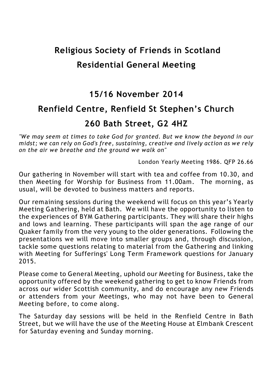# **Religious Society of Friends in Scotland Residential General Meeting**

# **15/16 November 2014 Renfield Centre, Renfield St Stephen's Church 260 Bath Street, G2 4HZ**

*"We may seem at times to take God for granted. But we know the beyond in our midst; we can rely on God's free, sustaining, creative and lively action as we rely on the air we breathe and the ground we walk on"*

London Yearly Meeting 1986. QFP 26.66

Our gathering in November will start with tea and coffee from 10.30, and then Meeting for Worship for Business from 11.00am. The morning, as usual, will be devoted to business matters and reports.

Our remaining sessions during the weekend will focus on this year's Yearly Meeting Gathering, held at Bath. We will have the opportunity to listen to the experiences of BYM Gathering participants. They will share their highs and lows and learning. These participants will span the age range of our Quaker family from the very young to the older generations. Following the presentations we will move into smaller groups and, through discussion, tackle some questions relating to material from the Gathering and linking with Meeting for Sufferings' Long Term Framework questions for January 2015.

Please come to General Meeting, uphold our Meeting for Business, take the opportunity offered by the weekend gathering to get to know Friends from across our wider Scottish community, and do encourage any new Friends or attenders from your Meetings, who may not have been to General Meeting before, to come along.

The Saturday day sessions will be held in the Renfield Centre in Bath Street, but we will have the use of the Meeting House at Elmbank Crescent for Saturday evening and Sunday morning.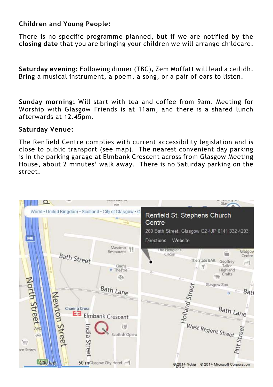#### **Children and Young People:**

There is no specific programme planned, but if we are notified **by the closing date** that you are bringing your children we will arrange childcare.

**Saturday evening:** Following dinner (TBC), Zem Moffatt will lead a ceilidh. Bring a musical instrument, a poem, a song, or a pair of ears to listen.

**Sunday morning:** Will start with tea and coffee from 9am. Meeting for Worship with Glasgow Friends is at 11am, and there is a shared lunch afterwards at 12.45pm.

#### **Saturday Venue:**

The Renfield Centre complies with current accessibility legislation and is close to public transport (see map). The nearest convenient day parking is in the parking garage at Elmbank Crescent across from Glasgow Meeting House, about 2 minutes' walk away. There is no Saturday parking on the street.

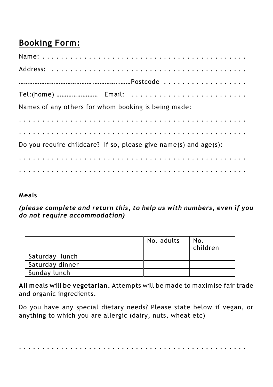# **Booking Form:**

| Names of any others for whom booking is being made:              |  |  |
|------------------------------------------------------------------|--|--|
|                                                                  |  |  |
|                                                                  |  |  |
| Do you require childcare? If so, please give name(s) and age(s): |  |  |
|                                                                  |  |  |
|                                                                  |  |  |

## **Meals**

*(please complete and return this, to help us with numbers, even if you do not require accommodation)*

|                 | No. adults | No.<br>children |
|-----------------|------------|-----------------|
| Saturday lunch  |            |                 |
| Saturday dinner |            |                 |
| Sunday lunch    |            |                 |

**All meals will be vegetarian.** Attempts will be made to maximise fair trade and organic ingredients.

Do you have any special dietary needs? Please state below if vegan, or anything to which you are allergic (dairy, nuts, wheat etc)

. . . . . . . . . . . . . . . . . . . . . . . . . . . . . . . . . . . . . . . . . . . . . . . . .